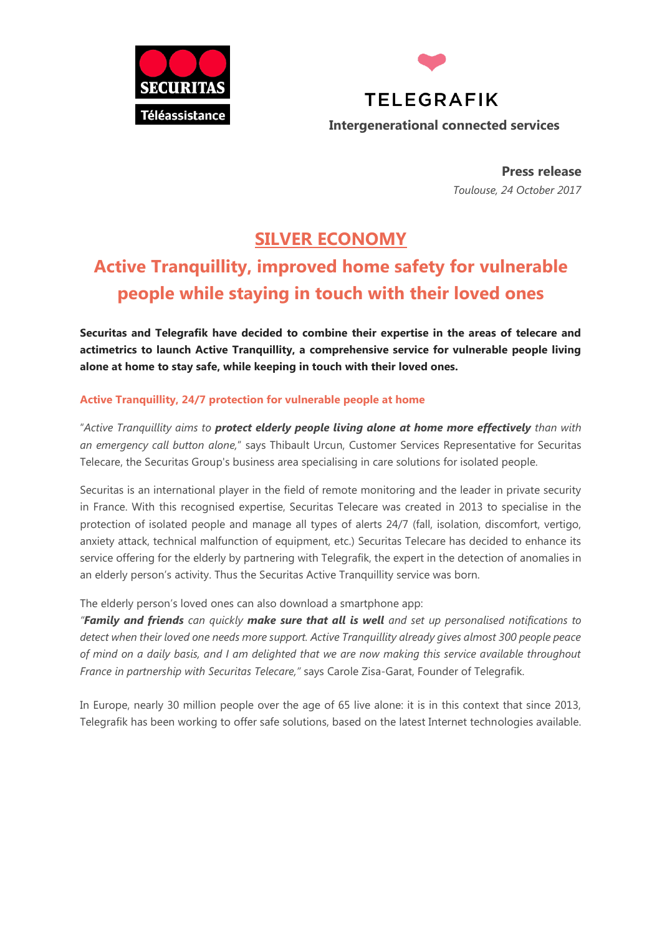



**Press release** *Toulouse, 24 October 2017*

# **SILVER ECONOMY**

# **Active Tranquillity, improved home safety for vulnerable people while staying in touch with their loved ones**

**Securitas and Telegrafik have decided to combine their expertise in the areas of telecare and actimetrics to launch Active Tranquillity, a comprehensive service for vulnerable people living alone at home to stay safe, while keeping in touch with their loved ones.** 

## **Active Tranquillity, 24/7 protection for vulnerable people at home**

"*Active Tranquillity aims to protect elderly people living alone at home more effectively than with an emergency call button alone,*" says Thibault Urcun, Customer Services Representative for Securitas Telecare, the Securitas Group's business area specialising in care solutions for isolated people.

Securitas is an international player in the field of remote monitoring and the leader in private security in France. With this recognised expertise, Securitas Telecare was created in 2013 to specialise in the protection of isolated people and manage all types of alerts 24/7 (fall, isolation, discomfort, vertigo, anxiety attack, technical malfunction of equipment, etc.) Securitas Telecare has decided to enhance its service offering for the elderly by partnering with Telegrafik, the expert in the detection of anomalies in an elderly person's activity. Thus the Securitas Active Tranquillity service was born.

The elderly person's loved ones can also download a smartphone app:

*"Family and friends can quickly make sure that all is well and set up personalised notifications to detect when their loved one needs more support. Active Tranquillity already gives almost 300 people peace of mind on a daily basis, and I am delighted that we are now making this service available throughout France in partnership with Securitas Telecare,"* says Carole Zisa-Garat, Founder of Telegrafik.

In Europe, nearly 30 million people over the age of 65 live alone: it is in this context that since 2013, Telegrafik has been working to offer safe solutions, based on the latest Internet technologies available.